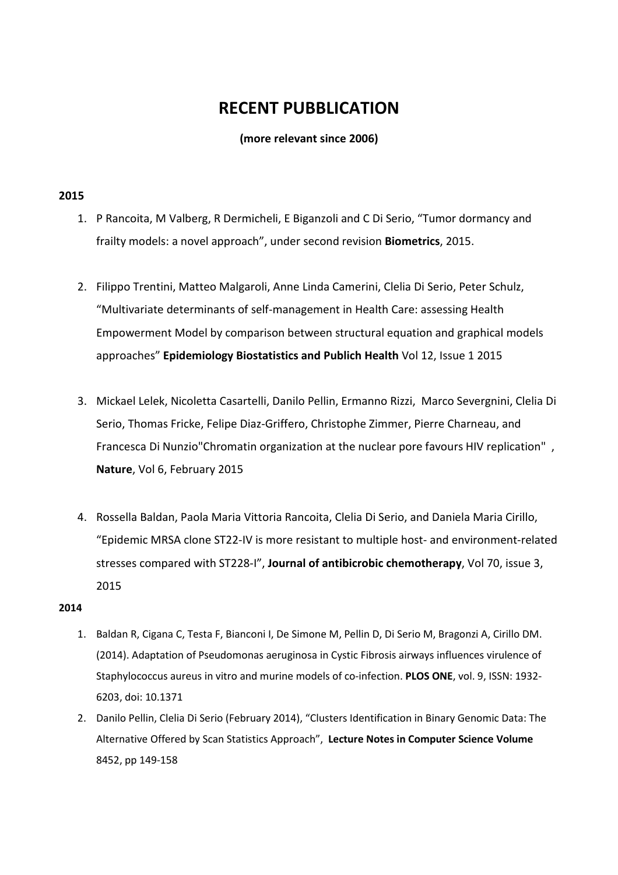# **RECENT PUBBLICATION**

**(more relevant since 2006)**

# **2015**

- 1. P Rancoita, M Valberg, R Dermicheli, E Biganzoli and C Di Serio, "Tumor dormancy and frailty models: a novel approach", under second revision **Biometrics**, 2015.
- 2. Filippo Trentini, Matteo Malgaroli, Anne Linda Camerini, Clelia Di Serio, Peter Schulz, "Multivariate determinants of self-management in Health Care: assessing Health Empowerment Model by comparison between structural equation and graphical models approaches" **Epidemiology Biostatistics and Publich Health** Vol 12, Issue 1 2015
- 3. Mickael Lelek, Nicoletta Casartelli, Danilo Pellin, Ermanno Rizzi, Marco Severgnini, Clelia Di Serio, Thomas Fricke, Felipe Diaz-Griffero, Christophe Zimmer, Pierre Charneau, and Francesca Di Nunzio"Chromatin organization at the nuclear pore favours HIV replication" , Nature, Vol 6, February 2015
- 4. Rossella Baldan, Paola Maria Vittoria Rancoita, Clelia Di Serio, and Daniela Maria Cirillo, "Epidemic MRSA clone ST22-IV is more resistant to multiple host- and environment-related stresses compared with ST228-I", **Journal of antibicrobic chemotherapy**, Vol 70, issue 3, 2015

#### **2014**

- 1. Baldan R, Cigana C, Testa F, Bianconi I, De Simone M, Pellin D, Di Serio M, Bragonzi A, Cirillo DM. (2014). Adaptation of Pseudomonas aeruginosa in Cystic Fibrosis airways influences virulence of Staphylococcus aureus in vitro and murine models of co-infection. **PLOS ONE**, vol. 9, ISSN: 1932- 6203, doi: 10.1371
- 2. Danilo Pellin, Clelia Di Serio (February 2014), "Clusters Identification in Binary Genomic Data: The Alternative Offered by Scan Statistics Approach", **Lecture Notes in Computer Science Volume** 8452, pp 149-158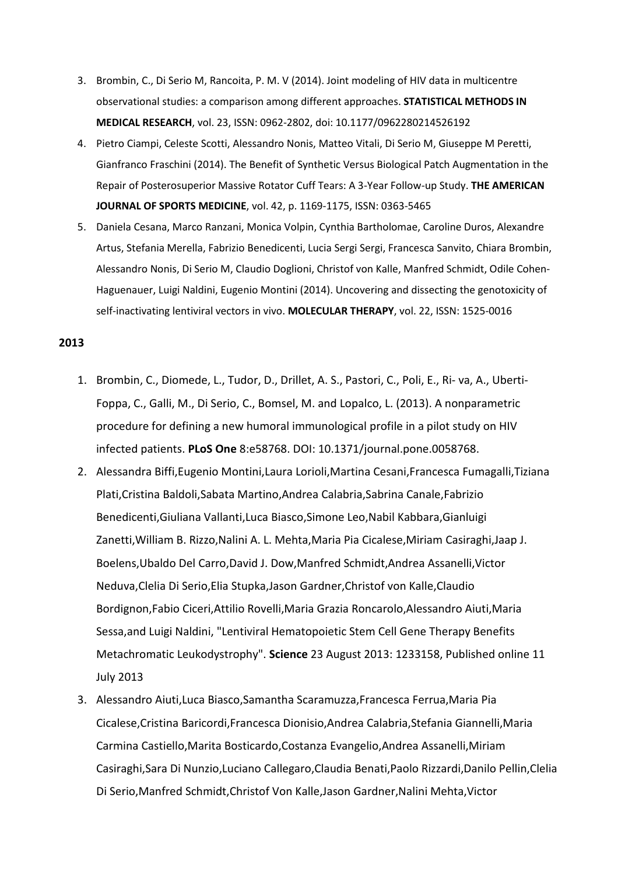- 3. Brombin, C., Di Serio M, Rancoita, P. M. V (2014). Joint modeling of HIV data in multicentre observational studies: a comparison among different approaches. **STATISTICAL METHODS IN MEDICAL RESEARCH**, vol. 23, ISSN: 0962-2802, doi: 10.1177/0962280214526192
- 4. Pietro Ciampi, Celeste Scotti, Alessandro Nonis, Matteo Vitali, Di Serio M, Giuseppe M Peretti, Gianfranco Fraschini (2014). The Benefit of Synthetic Versus Biological Patch Augmentation in the Repair of Posterosuperior Massive Rotator Cuff Tears: A 3-Year Follow-up Study. **THE AMERICAN JOURNAL OF SPORTS MEDICINE**, vol. 42, p. 1169-1175, ISSN: 0363-5465
- 5. Daniela Cesana, Marco Ranzani, Monica Volpin, Cynthia Bartholomae, Caroline Duros, Alexandre Artus, Stefania Merella, Fabrizio Benedicenti, Lucia Sergi Sergi, Francesca Sanvito, Chiara Brombin, Alessandro Nonis, Di Serio M, Claudio Doglioni, Christof von Kalle, Manfred Schmidt, Odile Cohen-Haguenauer, Luigi Naldini, Eugenio Montini (2014). Uncovering and dissecting the genotoxicity of self-inactivating lentiviral vectors in vivo. **MOLECULAR THERAPY**, vol. 22, ISSN: 1525-0016

#### **2013**

- 1. Brombin, C., Diomede, L., Tudor, D., Drillet, A. S., Pastori, C., Poli, E., Ri- va, A., Uberti-Foppa, C., Galli, M., Di Serio, C., Bomsel, M. and Lopalco, L. (2013). A nonparametric procedure for defining a new humoral immunological profile in a pilot study on HIV infected patients. **PLoS One** 8:e58768. DOI: 10.1371/journal.pone.0058768.
- 2. Alessandra Biffi,Eugenio Montini,Laura Lorioli,Martina Cesani,Francesca Fumagalli,Tiziana Plati,Cristina Baldoli,Sabata Martino,Andrea Calabria,Sabrina Canale,Fabrizio Benedicenti,Giuliana Vallanti,Luca Biasco,Simone Leo,Nabil Kabbara,Gianluigi Zanetti,William B. Rizzo,Nalini A. L. Mehta,Maria Pia Cicalese,Miriam Casiraghi,Jaap J. Boelens,Ubaldo Del Carro,David J. Dow,Manfred Schmidt,Andrea Assanelli,Victor Neduva,Clelia Di Serio,Elia Stupka,Jason Gardner,Christof von Kalle,Claudio Bordignon,Fabio Ciceri,Attilio Rovelli,Maria Grazia Roncarolo,Alessandro Aiuti,Maria Sessa,and Luigi Naldini, "Lentiviral Hematopoietic Stem Cell Gene Therapy Benefits Metachromatic Leukodystrophy". **Science** 23 August 2013: 1233158, Published online 11 July 2013
- 3. Alessandro Aiuti,Luca Biasco,Samantha Scaramuzza,Francesca Ferrua,Maria Pia Cicalese,Cristina Baricordi,Francesca Dionisio,Andrea Calabria,Stefania Giannelli,Maria Carmina Castiello,Marita Bosticardo,Costanza Evangelio,Andrea Assanelli,Miriam Casiraghi,Sara Di Nunzio,Luciano Callegaro,Claudia Benati,Paolo Rizzardi,Danilo Pellin,Clelia Di Serio,Manfred Schmidt,Christof Von Kalle,Jason Gardner,Nalini Mehta,Victor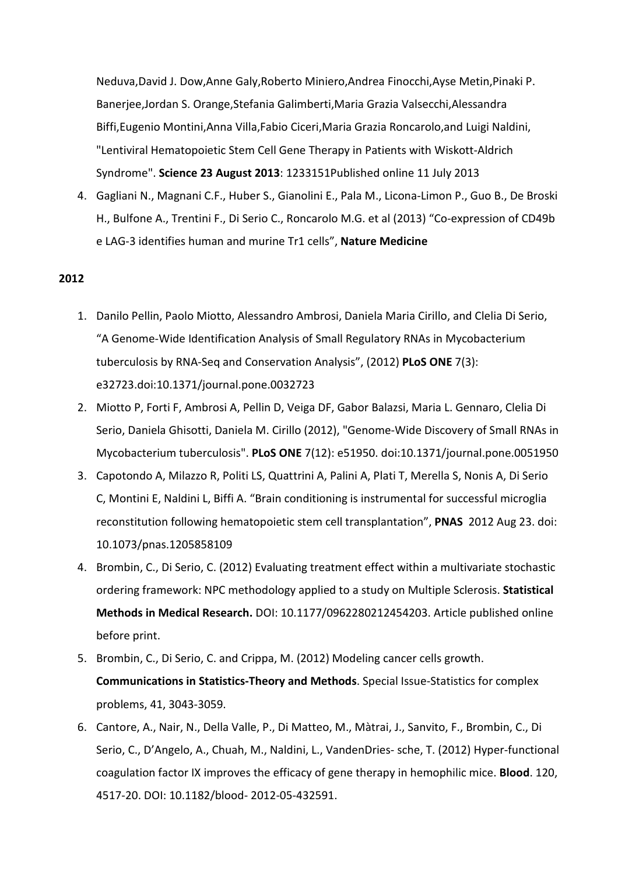Neduva,David J. Dow,Anne Galy,Roberto Miniero,Andrea Finocchi,Ayse Metin,Pinaki P. Banerjee,Jordan S. Orange,Stefania Galimberti,Maria Grazia Valsecchi,Alessandra Biffi,Eugenio Montini,Anna Villa,Fabio Ciceri,Maria Grazia Roncarolo,and Luigi Naldini, "Lentiviral Hematopoietic Stem Cell Gene Therapy in Patients with Wiskott-Aldrich Syndrome". **Science 23 August 2013**: 1233151Published online 11 July 2013

4. Gagliani N., Magnani C.F., Huber S., Gianolini E., Pala M., Licona-Limon P., Guo B., De Broski H., Bulfone A., Trentini F., Di Serio C., Roncarolo M.G. et al (2013) "Co-expression of CD49b e LAG-3 identifies human and murine Tr1 cells", **Nature Medicine**

## **2012**

- 1. Danilo Pellin, Paolo Miotto, Alessandro Ambrosi, Daniela Maria Cirillo, and Clelia Di Serio, "A Genome-Wide Identification Analysis of Small Regulatory RNAs in Mycobacterium tuberculosis by RNA-Seq and Conservation Analysis", (2012) **PLoS ONE** 7(3): e32723.doi:10.1371/journal.pone.0032723
- 2. Miotto P, Forti F, Ambrosi A, Pellin D, Veiga DF, Gabor Balazsi, Maria L. Gennaro, Clelia Di Serio, Daniela Ghisotti, Daniela M. Cirillo (2012), "Genome-Wide Discovery of Small RNAs in Mycobacterium tuberculosis". **PLoS ONE** 7(12): e51950. doi:10.1371/journal.pone.0051950
- 3. Capotondo A, Milazzo R, Politi LS, Quattrini A, Palini A, Plati T, Merella S, Nonis A, Di Serio C, Montini E, Naldini L, Biffi A. "Brain conditioning is instrumental for successful microglia reconstitution following hematopoietic stem cell transplantation", **PNAS** 2012 Aug 23. doi: 10.1073/pnas.1205858109
- 4. Brombin, C., Di Serio, C. (2012) Evaluating treatment effect within a multivariate stochastic ordering framework: NPC methodology applied to a study on Multiple Sclerosis. **Statistical Methods in Medical Research.** DOI: 10.1177/0962280212454203. Article published online before print.
- 5. Brombin, C., Di Serio, C. and Crippa, M. (2012) Modeling cancer cells growth. **Communications in Statistics-Theory and Methods**. Special Issue-Statistics for complex problems, 41, 3043-3059.
- 6. Cantore, A., Nair, N., Della Valle, P., Di Matteo, M., Màtrai, J., Sanvito, F., Brombin, C., Di Serio, C., D'Angelo, A., Chuah, M., Naldini, L., VandenDries- sche, T. (2012) Hyper-functional coagulation factor IX improves the efficacy of gene therapy in hemophilic mice. **Blood**. 120, 4517-20. DOI: 10.1182/blood- 2012-05-432591.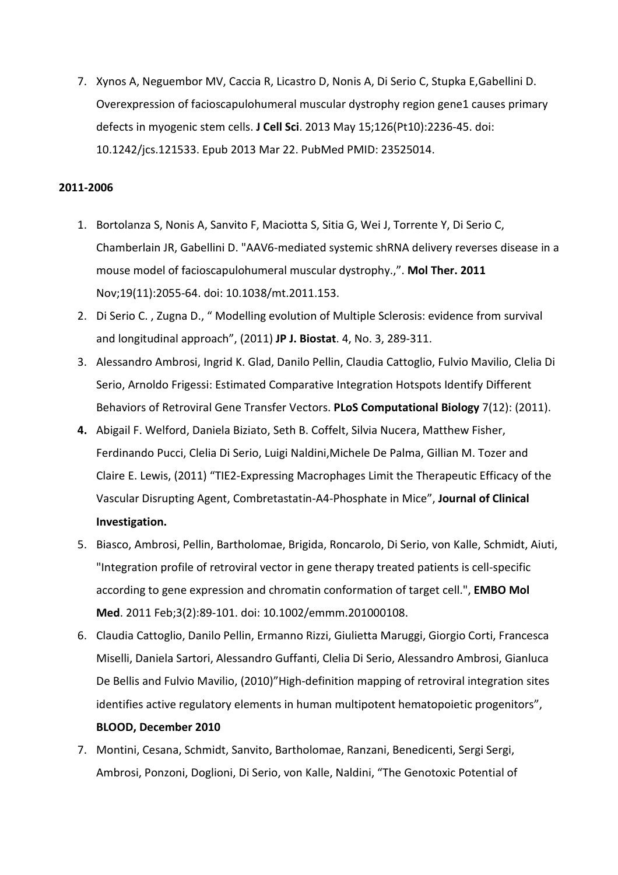7. Xynos A, Neguembor MV, Caccia R, Licastro D, Nonis A, Di Serio C, Stupka E,Gabellini D. Overexpression of facioscapulohumeral muscular dystrophy region gene1 causes primary defects in myogenic stem cells. **J Cell Sci**. 2013 May 15;126(Pt10):2236-45. doi: 10.1242/jcs.121533. Epub 2013 Mar 22. PubMed PMID: 23525014.

# **2011-2006**

- 1. Bortolanza S, Nonis A, Sanvito F, Maciotta S, Sitia G, Wei J, Torrente Y, Di Serio C, Chamberlain JR, Gabellini D. "AAV6-mediated systemic shRNA delivery reverses disease in a mouse model of facioscapulohumeral muscular dystrophy.,". **Mol Ther. 2011** Nov;19(11):2055-64. doi: 10.1038/mt.2011.153.
- 2. Di Serio C. , Zugna D., " Modelling evolution of Multiple Sclerosis: evidence from survival and longitudinal approach", (2011) **JP J. Biostat**. 4, No. 3, 289-311.
- 3. Alessandro Ambrosi, Ingrid K. Glad, Danilo Pellin, Claudia Cattoglio, Fulvio Mavilio, Clelia Di Serio, Arnoldo Frigessi: Estimated Comparative Integration Hotspots Identify Different Behaviors of Retroviral Gene Transfer Vectors. **PLoS Computational Biology** 7(12): (2011).
- **4.** Abigail F. Welford, Daniela Biziato, Seth B. Coffelt, Silvia Nucera, Matthew Fisher, Ferdinando Pucci, Clelia Di Serio, Luigi Naldini,Michele De Palma, Gillian M. Tozer and Claire E. Lewis, (2011) "TIE2-Expressing Macrophages Limit the Therapeutic Efficacy of the Vascular Disrupting Agent, Combretastatin-A4-Phosphate in Mice", **Journal of Clinical Investigation.**
- 5. Biasco, Ambrosi, Pellin, Bartholomae, Brigida, Roncarolo, Di Serio, von Kalle, Schmidt, Aiuti, "Integration profile of retroviral vector in gene therapy treated patients is cell-specific according to gene expression and chromatin conformation of target cell.", **EMBO Mol Med**. 2011 Feb;3(2):89-101. doi: 10.1002/emmm.201000108.
- 6. Claudia Cattoglio, Danilo Pellin, Ermanno Rizzi, Giulietta Maruggi, Giorgio Corti, Francesca Miselli, Daniela Sartori, Alessandro Guffanti, Clelia Di Serio, Alessandro Ambrosi, Gianluca De Bellis and Fulvio Mavilio, (2010)"High-definition mapping of retroviral integration sites identifies active regulatory elements in human multipotent hematopoietic progenitors", **BLOOD, December 2010**
- 7. Montini, Cesana, Schmidt, Sanvito, Bartholomae, Ranzani, Benedicenti, Sergi Sergi, Ambrosi, Ponzoni, Doglioni, Di Serio, von Kalle, Naldini, "The Genotoxic Potential of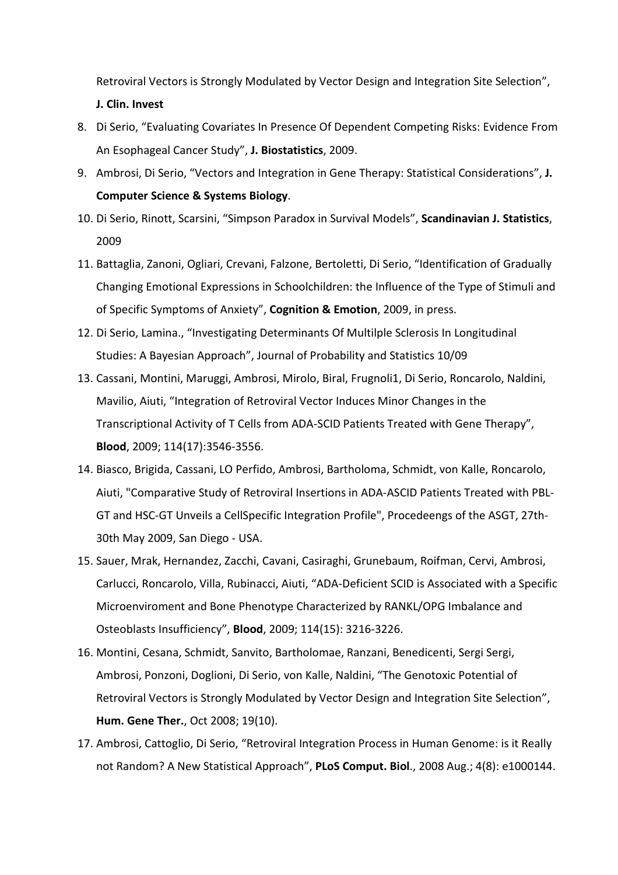Retroviral Vectors is Strongly Modulated by Vector Design and Integration Site Selection",

## **J. Clin. Invest**

- 8. Di Serio, "Evaluating Covariates In Presence Of Dependent Competing Risks: Evidence From An Esophageal Cancer Study", **J. Biostatistics**, 2009.
- 9. Ambrosi, Di Serio, "Vectors and Integration in Gene Therapy: Statistical Considerations", **J. Computer Science & Systems Biology**.
- 10. Di Serio, Rinott, Scarsini, "Simpson Paradox in Survival Models", **Scandinavian J. Statistics**, 2009
- 11. Battaglia, Zanoni, Ogliari, Crevani, Falzone, Bertoletti, Di Serio, "Identification of Gradually Changing Emotional Expressions in Schoolchildren: the Influence of the Type of Stimuli and of Specific Symptoms of Anxiety", **Cognition & Emotion**, 2009, in press.
- 12. Di Serio, Lamina., "Investigating Determinants Of Multilple Sclerosis In Longitudinal Studies: A Bayesian Approach", Journal of Probability and Statistics 10/09
- 13. Cassani, Montini, Maruggi, Ambrosi, Mirolo, Biral, Frugnoli1, Di Serio, Roncarolo, Naldini, Mavilio, Aiuti, "Integration of Retroviral Vector Induces Minor Changes in the Transcriptional Activity of T Cells from ADA-SCID Patients Treated with Gene Therapy", **Blood**, 2009; 114(17):3546-3556.
- 14. Biasco, Brigida, Cassani, LO Perfido, Ambrosi, Bartholoma, Schmidt, von Kalle, Roncarolo, Aiuti, "Comparative Study of Retroviral Insertions in ADA-ASCID Patients Treated with PBL-GT and HSC-GT Unveils a CellSpecific Integration Profile", Procedeengs of the ASGT, 27th-30th May 2009, San Diego - USA.
- 15. Sauer, Mrak, Hernandez, Zacchi, Cavani, Casiraghi, Grunebaum, Roifman, Cervi, Ambrosi, Carlucci, Roncarolo, Villa, Rubinacci, Aiuti, "ADA-Deficient SCID is Associated with a Specific Microenviroment and Bone Phenotype Characterized by RANKL/OPG Imbalance and Osteoblasts Insufficiency", **Blood**, 2009; 114(15): 3216-3226.
- 16. Montini, Cesana, Schmidt, Sanvito, Bartholomae, Ranzani, Benedicenti, Sergi Sergi, Ambrosi, Ponzoni, Doglioni, Di Serio, von Kalle, Naldini, "The Genotoxic Potential of Retroviral Vectors is Strongly Modulated by Vector Design and Integration Site Selection", **Hum. Gene Ther.**, Oct 2008; 19(10).
- 17. Ambrosi, Cattoglio, Di Serio, "Retroviral Integration Process in Human Genome: is it Really not Random? A New Statistical Approach", **PLoS Comput. Biol**., 2008 Aug.; 4(8): e1000144.